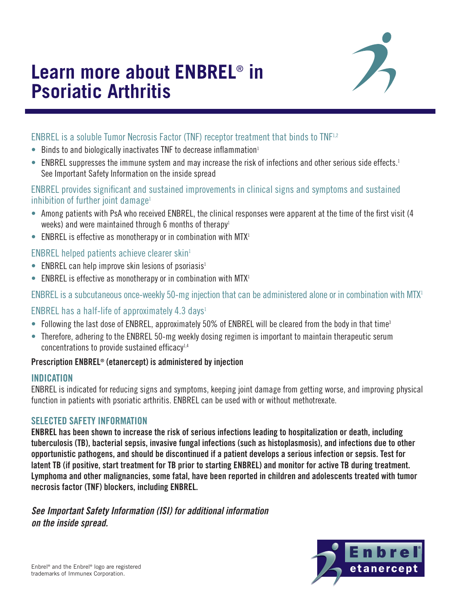# **Learn more about ENBREL**® **in Psoriatic Arthritis**



## ENBREL is a soluble Tumor Necrosis Factor (TNF) receptor treatment that binds to TNF1,2

- Binds to and biologically inactivates TNF to decrease inflammation<sup>1</sup>
- ENBREL suppresses the immune system and may increase the risk of infections and other serious side effects.<sup>1</sup> See Important Safety Information on the inside spread

## ENBREL provides significant and sustained improvements in clinical signs and symptoms and sustained inhibition of further joint damage<sup>1</sup>

- Among patients with PsA who received ENBREL, the clinical responses were apparent at the time of the first visit (4 weeks) and were maintained through 6 months of therapy<sup>1</sup>
- ENBREL is effective as monotherapy or in combination with MTX<sup>1</sup>

## ENBREL helped patients achieve clearer skin $1$

- ENBREL can help improve skin lesions of psoriasis<sup>1</sup>
- ENBREL is effective as monotherapy or in combination with  $MTX<sup>1</sup>$

ENBREL is a subcutaneous once-weekly 50-mg injection that can be administered alone or in combination with MTX1

## ENBREL has a half-life of approximately 4.3 days<sup>1</sup>

- Following the last dose of ENBREL, approximately 50% of ENBREL will be cleared from the body in that time<sup>3</sup>
- Therefore, adhering to the ENBREL 50-mg weekly dosing regimen is important to maintain therapeutic serum concentrations to provide sustained efficacy<sup>1,4</sup>

## Prescription ENBREL® (etanercept) is administered by injection

## INDICATION

ENBREL is indicated for reducing signs and symptoms, keeping joint damage from getting worse, and improving physical function in patients with psoriatic arthritis. ENBREL can be used with or without methotrexate.

### SELECTED SAFETY INFORMATION

ENBREL has been shown to increase the risk of serious infections leading to hospitalization or death, including tuberculosis (TB), bacterial sepsis, invasive fungal infections (such as histoplasmosis), and infections due to other opportunistic pathogens, and should be discontinued if a patient develops a serious infection or sepsis. Test for latent TB (if positive, start treatment for TB prior to starting ENBREL) and monitor for active TB during treatment. Lymphoma and other malignancies, some fatal, have been reported in children and adolescents treated with tumor necrosis factor (TNF) blockers, including ENBREL.

*See Important Safety Information (ISI) for additional information on the inside spread.* 

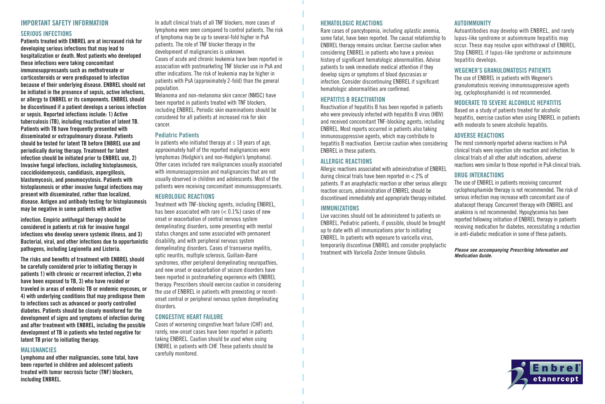## IMPORTANT SAFETY INFORMATION

## SERIOUS INFECTIONS

Patients treated with ENBREL are at increased risk for developing serious infections that may lead to hospitalization or death. Most patients who developed these infections were taking concomitant immunosuppressants such as methotrexate or corticosteroids or were predisposed to infection because of their underlying disease. ENBREL should not be initiated in the presence of sepsis, active infections, or allergy to ENBREL or its components. ENBREL should be discontinued if a patient develops a serious infection or sepsis. Reported infections include: 1) Active tuberculosis (TB), including reactivation of latent TB. Patients with TB have frequently presented with disseminated or extrapulmonary disease. Patients should be tested for latent TB before ENBREL use and periodically during therapy. Treatment for latent infection should be initiated prior to ENBREL use, 2) Invasive fungal infections, including histoplasmosis, coccidioidomycosis, candidiasis, aspergillosis, blastomycosis, and pneumocystosis. Patients with histoplasmosis or other invasive fungal infections may present with disseminated, rather than localized, disease. Antigen and antibody testing for histoplasmosis may be negative in some patients with active

infection. Empiric antifungal therapy should be considered in patients at risk for invasive fungal infections who develop severe systemic illness, and 3) Bacterial, viral, and other infections due to opportunistic pathogens, including Legionella and Listeria.

The risks and benefits of treatment with ENBREL should be carefully considered prior to initiating therapy in patients 1) with chronic or recurrent infection, 2) who have been exposed to TB, 3) who have resided or traveled in areas of endemic TB or endemic mycoses, or 4) with underlying conditions that may predispose them to infections such as advanced or poorly controlled diabetes. Patients should be closely monitored for the development of signs and symptoms of infection during and after treatment with ENBREL, including the possible development of TB in patients who tested negative for latent TB prior to initiating therapy.

#### MALIGNANCIES

Lymphoma and other malignancies, some fatal, have been reported in children and adolescent patients treated with tumor necrosis factor (TNF) blockers, including ENBREL.

In adult clinical trials of all TNF blockers, more cases of lymphoma were seen compared to control patients. The risk of lymphoma may be up to several-fold higher in PsA patients. The role of TNF blocker therapy in the development of malignancies is unknown.

Cases of acute and chronic leukemia have been reported in association with postmarketing TNF blocker use in PsA and other indications. The risk of leukemia may be higher in patients with PsA (approximately 2-fold) than the general population.

Melanoma and non-melanoma skin cancer (NMSC) have been reported in patients treated with TNF blockers, including ENBREL. Periodic skin examinations should be considered for all patients at increased risk for skin cancer.

#### Pediatric Patients

In patients who initiated therapy at  $\leq 18$  years of age, approximately half of the reported malignancies were lymphomas (Hodgkin's and non-Hodgkin's lymphoma). Other cases included rare malignancies usually associated with immunosuppression and malignancies that are not usually observed in children and adolescents. Most of the patients were receiving concomitant immunosuppressants.

### NEUROLOGIC REACTIONS

Treatment with TNF-blocking agents, including ENBREL, has been associated with rare  $(< 0.1\%)$  cases of new onset or exacerbation of central nervous system demyelinating disorders, some presenting with mental status changes and some associated with permanent disability, and with peripheral nervous system demyelinating disorders. Cases of transverse myelitis, optic neuritis, multiple sclerosis, Guillain-Barré syndromes, other peripheral demyelinating neuropathies, and new onset or exacerbation of seizure disorders have been reported in postmarketing experience with ENBREL therapy. Prescribers should exercise caution in considering the use of ENBREL in patients with preexisting or recentonset central or peripheral nervous system demyelinating disorders.

### CONGESTIVE HEART FAILURE

Cases of worsening congestive heart failure (CHF) and, rarely, new-onset cases have been reported in patients taking ENBREL. Caution should be used when using ENBREL in patients with CHF. These patients should be carefully monitored.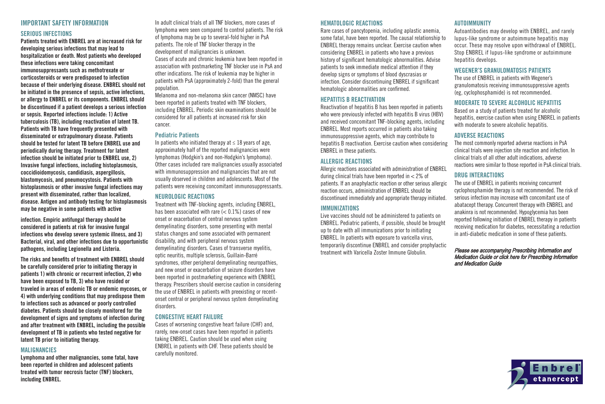#### HEMATOLOGIC REACTIONS

Rare cases of pancytopenia, including aplastic anemia, some fatal, have been reported. The causal relationship to ENBREL therapy remains unclear. Exercise caution when considering ENBREL in patients who have a previous history of significant hematologic abnormalities. Advise patients to seek immediate medical attention if they develop signs or symptoms of blood dyscrasias or infection. Consider discontinuing ENBREL if significant hematologic abnormalities are confirmed.

### HEPATITIS B REACTIVATION

Reactivation of hepatitis B has been reported in patients who were previously infected with hepatitis B virus (HBV) and received concomitant TNF-blocking agents, including ENBREL. Most reports occurred in patients also taking immunosuppressive agents, which may contribute to hepatitis B reactivation. Exercise caution when considering ENBREL in these patients.

#### ALLERGIC REACTIONS

Allergic reactions associated with administration of ENBREL during clinical trials have been reported in < 2% of patients. If an anaphylactic reaction or other serious allergic reaction occurs, administration of ENBREL should be discontinued immediately and appropriate therapy initiated.

#### **IMMUNIZATIONS**

Live vaccines should not be administered to patients on ENBREL. Pediatric patients, if possible, should be brought up to date with all immunizations prior to initiating ENBREL. In patients with exposure to varicella virus, temporarily discontinue ENBREL and consider prophylactic treatment with Varicella Zoster Immune Globulin.

#### AUTOIMMUNITY

Autoantibodies may develop with ENBREL, and rarely lupus-like syndrome or autoimmune hepatitis may occur. These may resolve upon withdrawal of ENBREL. Stop ENBREL if lupus-like syndrome or autoimmune hepatitis develops.

#### WEGENER'S GRANULOMATOSIS PATIENTS

The use of ENBREL in patients with Wegener's granulomatosis receiving immunosuppressive agents (eg, cyclophosphamide) is not recommended.

### MODERATE TO SEVERE ALCOHOLIC HEPATITIS

Based on a study of patients treated for alcoholic hepatitis, exercise caution when using ENBREL in patients with moderate to severe alcoholic hepatitis.

#### ADVERSE REACTIONS

The most commonly reported adverse reactions in PsA clinical trials were injection site reaction and infection. In clinical trials of all other adult indications, adverse reactions were similar to those reported in PsA clinical trials.

### DRUG INTERACTIONS

The use of ENBREL in patients receiving concurrent cyclophosphamide therapy is not recommended. The risk of serious infection may increase with concomitant use of abatacept therapy. Concurrent therapy with ENBREL and anakinra is not recommended. Hypoglycemia has been reported following initiation of ENBREL therapy in patients receiving medication for diabetes, necessitating a reduction in anti-diabetic medication in some of these patients.

#### Please see accompanying Prescribing Information and Medication Guide or click here for [Prescribing Information](https://www.pi.amgen.com/~/media/amgen/repositorysites/pi-amgen-com/enbrel/enbrel_pi.pdf)  and [Medication Guide](https://www.pi.amgen.com/~/media/amgen/repositorysites/pi-amgen-com/enbrel/enbrel_mg.pdf)